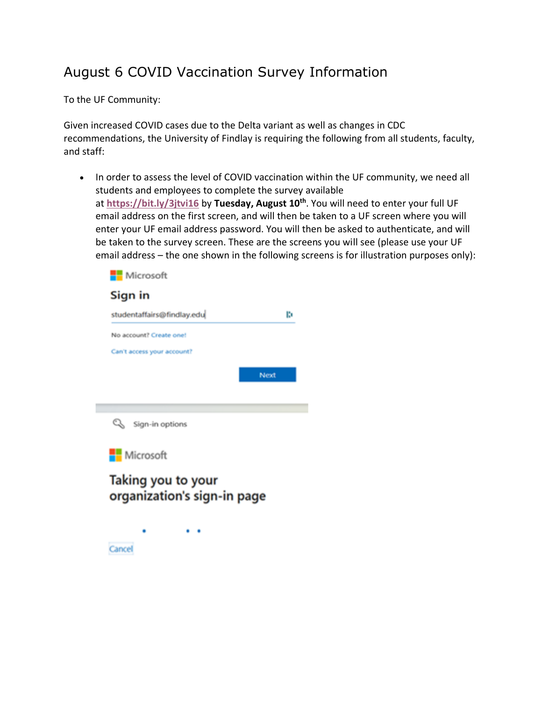## August 6 COVID Vaccination Survey Information

To the UF Community:

Given increased COVID cases due to the Delta variant as well as changes in CDC recommendations, the University of Findlay is requiring the following from all students, faculty, and staff:

• In order to assess the level of COVID vaccination within the UF community, we need all students and employees to complete the survey available at **<https://bit.ly/3jtvi16>** by **Tuesday, August 10th**. You will need to enter your full UF email address on the first screen, and will then be taken to a UF screen where you will enter your UF email address password. You will then be asked to authenticate, and will be taken to the survey screen. These are the screens you will see (please use your UF email address – [the one shown in the following sc](https://bit.ly/3jtvi16)reens is for illustration purposes only):

| studentaffairs@findlay.edu                        | ю    |
|---------------------------------------------------|------|
| No account? Create one!                           |      |
| Can't access your account?                        |      |
|                                                   | Next |
|                                                   |      |
|                                                   |      |
| Q<br>Sign-in options                              |      |
| Microsoft                                         |      |
| Taking you to your<br>organization's sign-in page |      |

Cancel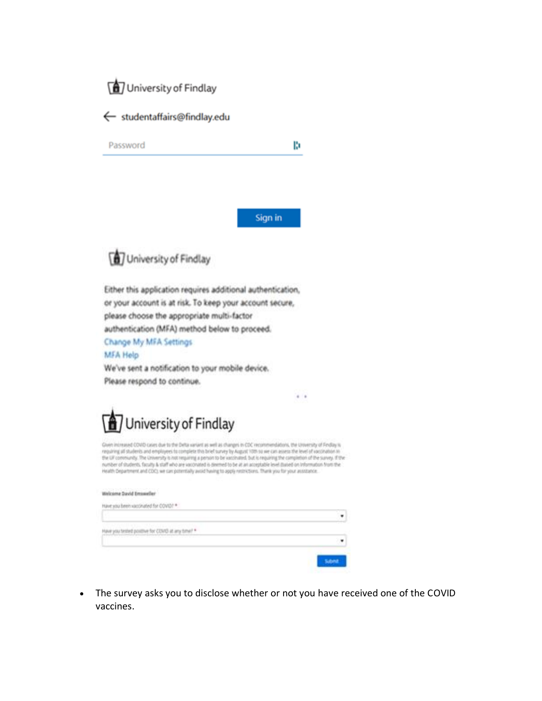



Password

b

 $4 - 4$ 

Sign in



Either this application requires additional authentication, or your account is at risk. To keep your account secure, please choose the appropriate multi-factor authentication (MFA) method below to proceed. Change My MFA Settings

## **MFA Help**

We've sent a notification to your mobile device. Please respond to continue.



Quen increased COVID cases due to the Delta sariant as well as changes in CDC recommendations, the University of Findlay is requiring all students and employees to complete this brief survey by August 10th so we can assess the level of vaccination in<br>the UP conveninty. The University is not requiring a person to be vaccinated. But is requiring number of students, faculty & staff who are vaccinated is deemed to be at an acceptable level mased on Information from the Health Department and CDC), we can potentially avoid having to apply nectrictions. Thank you for your assistance.

| <b>Emasse</b>                                                                                                                                                                                                                  |  |
|--------------------------------------------------------------------------------------------------------------------------------------------------------------------------------------------------------------------------------|--|
|                                                                                                                                                                                                                                |  |
|                                                                                                                                                                                                                                |  |
| <b>STATISTICS</b>                                                                                                                                                                                                              |  |
| The property of the control of the control of the control of the control of the control of the control of the control of the control of the control of the control of the control of the control of the control of the control |  |
|                                                                                                                                                                                                                                |  |
|                                                                                                                                                                                                                                |  |

The survey asks you to disclose whether or not you have received one of the COVID  $\bullet$ vaccines.